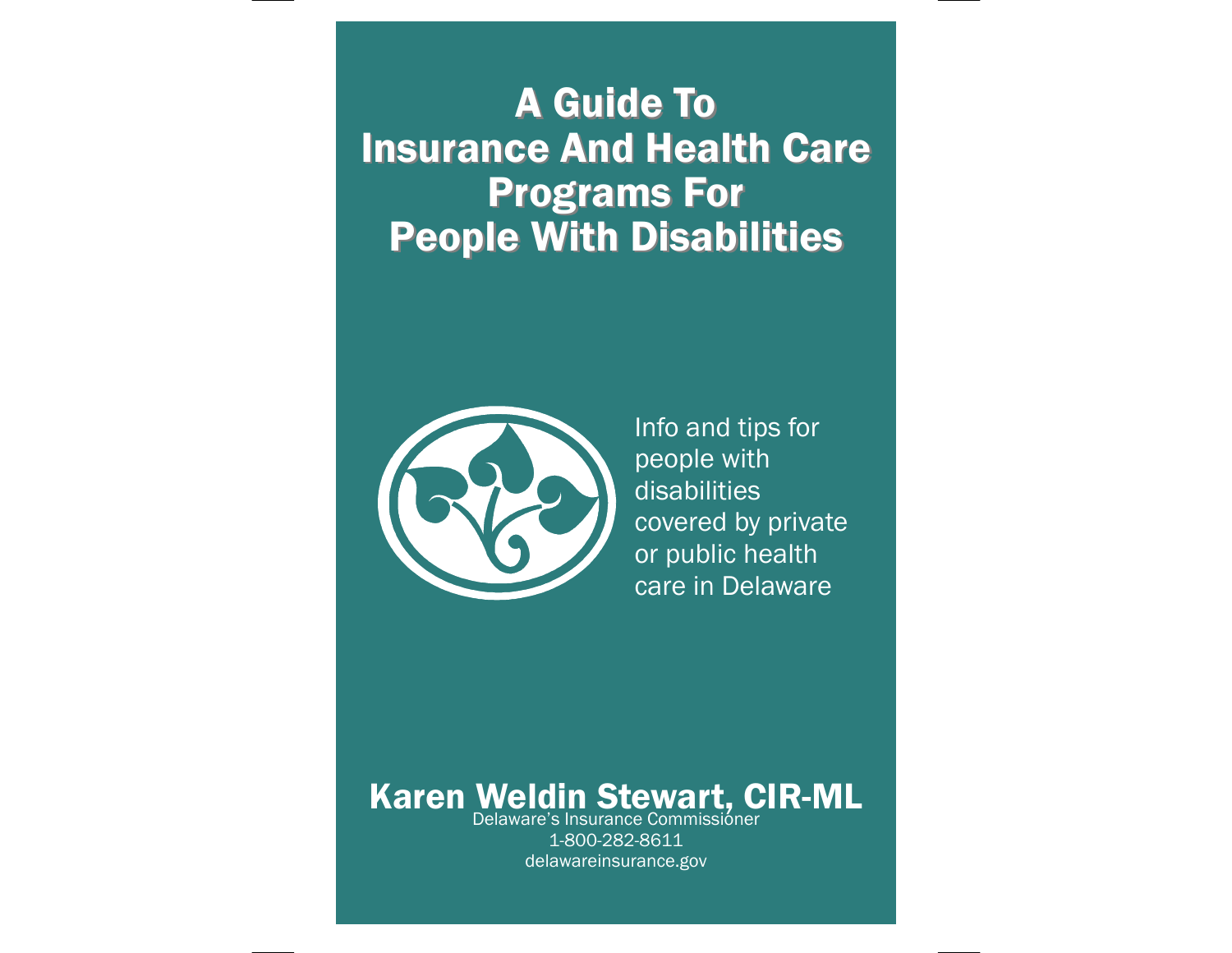### **A Guide To Insurance And Health Care Programs For People With Disabilities**



Info and tips for people with disabilities covered by private or public health care in Delaware

### Delaware's Insurance Commissioner Karen Weldin Stewart, CIR-ML

1-800-282-8611 delawareinsurance.gov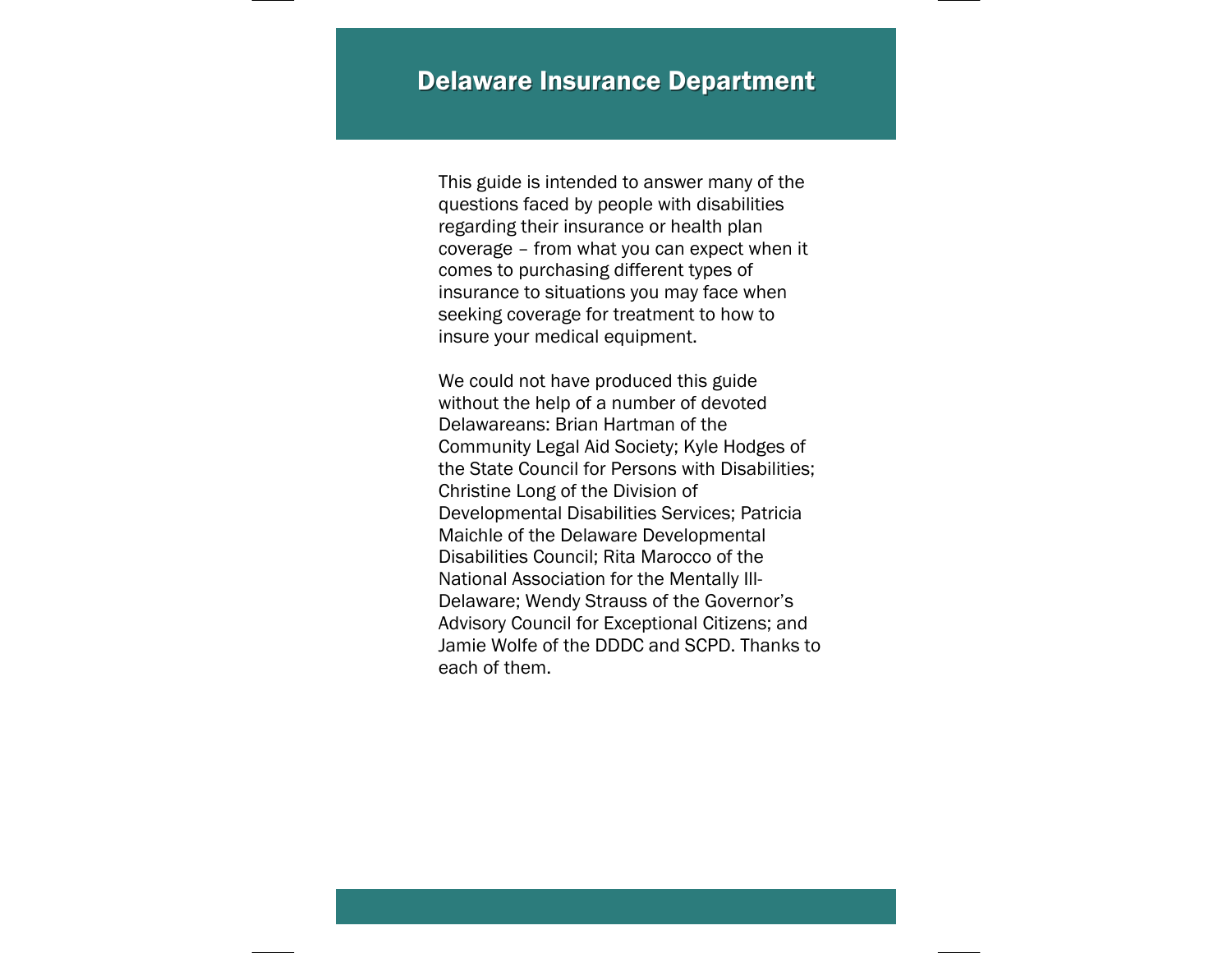This guide is intended to answer many of the questions faced by people with disabilities regarding their insurance or health plan coverage – from what you can expect when it comes to purchasing different types of insurance to situations you may face when seeking coverage for treatment to how to insure your medical equipment.

We could not have produced this guide without the help of a number of devoted Delawareans: Brian Hartman of the Community Legal Aid Society; Kyle Hodges of the State Council for Persons with Disabilities; Christine Long of the Division of Developmental Disabilities Services; Patricia Maichle of the Delaware Developmental Disabilities Council; Rita Marocco of the National Association for the Mentally Ill-Delaware; Wendy Strauss of the Governor's Advisory Council for Exceptional Citizens; and Jamie Wolfe of the DDDC and SCPD. Thanks to each of them.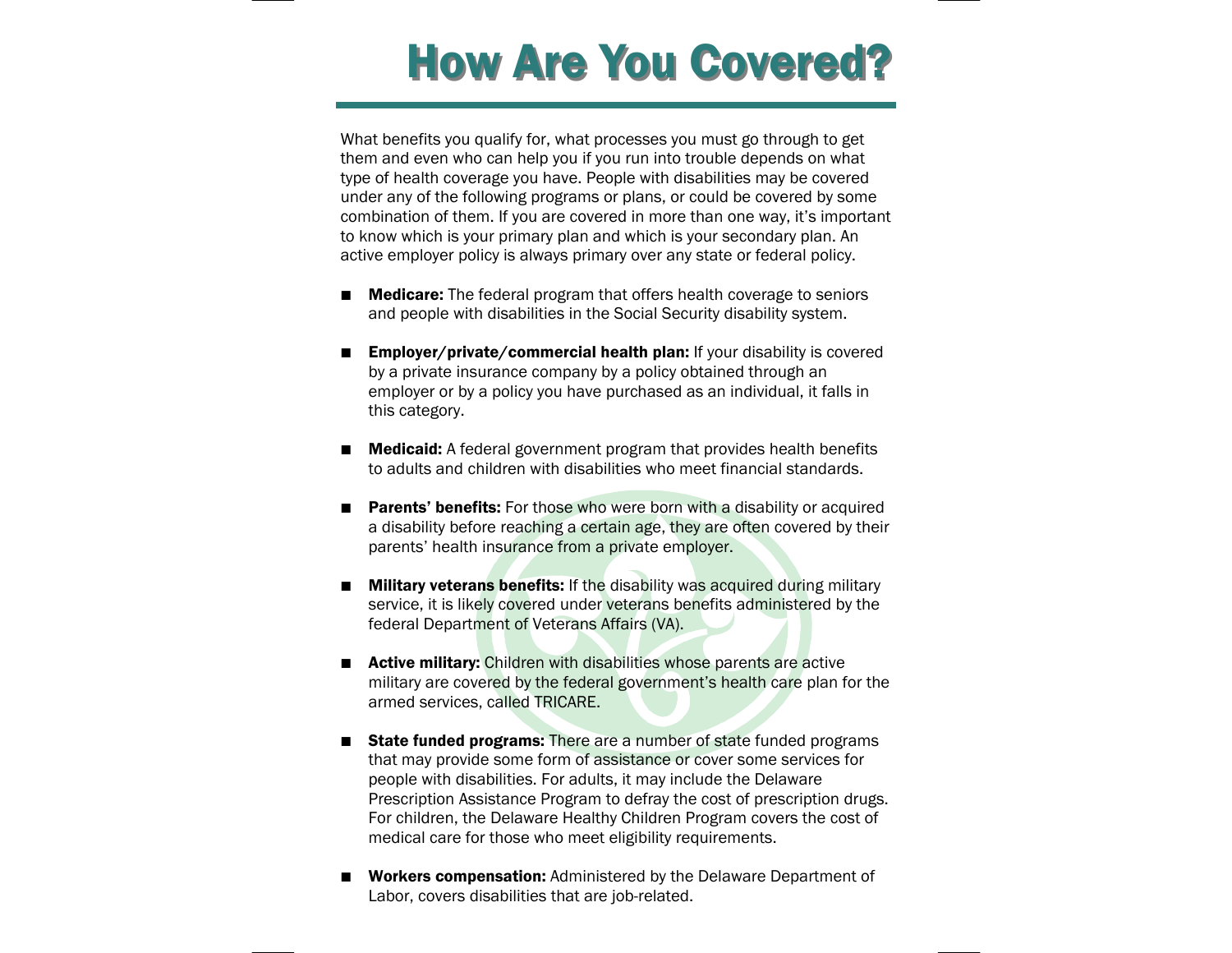## **How Are You Covered?**

What benefits you qualify for, what processes you must go through to get them and even who can help you if you run into trouble depends on what type of health coverage you have. People with disabilities may be covered under any of the following programs or plans, or could be covered by some combination of them. If you are covered in more than one way, it's important to know which is your primary plan and which is your secondary plan. An active employer policy is always primary over any state or federal policy.

- $\blacksquare$ **Medicare:** The federal program that offers health coverage to seniors and people with disabilities in the Social Security disability system.
- $\blacksquare$ Employer/private/commercial health plan: If your disability is covered by a private insurance company by a policy obtained through an employer or by a policy you have purchased as an individual, it falls in this category.
- **The Contract of the Contract of the Contract of the Contract of the Contract of the Contract of the Contract o**  Medicaid: A federal government program that provides health benefits to adults and children with disabilities who meet financial standards.
- $\blacksquare$ Parents' benefits: For those who were born with a disability or acquired a disability before reaching a certain age, they are often covered by their parents' health insurance from a private employer.
- $\blacksquare$ **Military veterans benefits:** If the disability was acquired during military service, it is likely covered under veterans benefits administered by the federal Department of Veterans Affairs (VA).
- **Active military:** Children with disabilities whose parents are active military are covered by the federal government's health care plan for the armed services, called TRICARE.
- **State funded programs:** There are a number of state funded programs that may provide some form of assistance or cover some services for people with disabilities. For adults, it may include the Delaware Prescription Assistance Program to defray the cost of prescription drugs. For children, the Delaware Healthy Children Program covers the cost of medical care for those who meet eligibility requirements.
- $\blacksquare$  Workers compensation: Administered by the Delaware Department of Labor, covers disabilities that are job-related.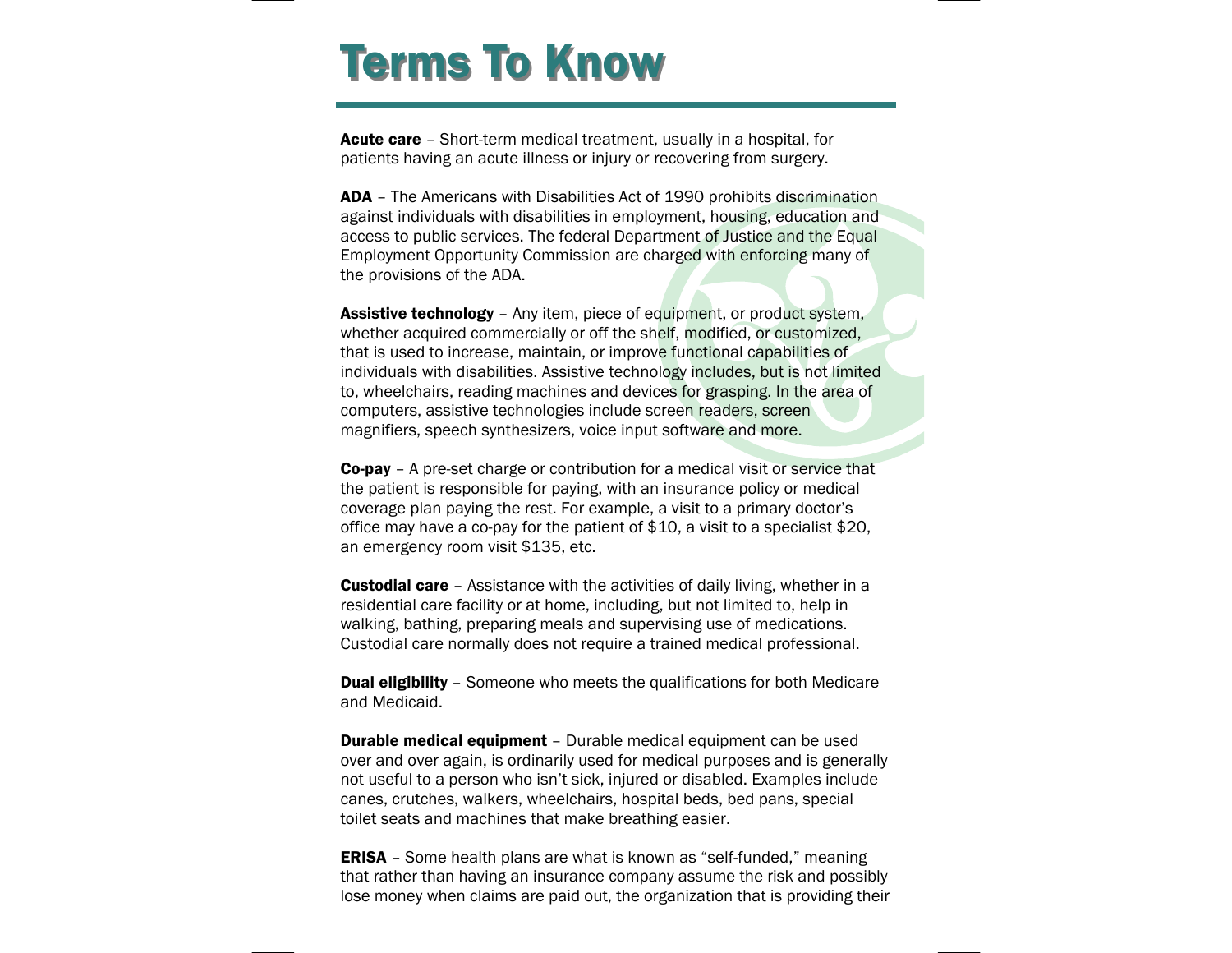## **Terms To Know**

Acute care - Short-term medical treatment, usually in a hospital, for patients having an acute illness or injury or recovering from surgery.

ADA - The Americans with Disabilities Act of 1990 prohibits discrimination against individuals with disabilities in employment, housing, education and access to public services. The federal Department of Justice and the Equal Employment Opportunity Commission are charged with enforcing many of the provisions of the ADA.

**Assistive technology** – Any item, piece of equipment, or product system, whether acquired commercially or off the shelf, modified, or customized, that is used to increase, maintain, or improve functional capabilities of individuals with disabilities. Assistive technology includes, but is not limited to, wheelchairs, reading machines and devices for grasping. In the area of computers, assistive technologies include screen readers, screen magnifiers, speech synthesizers, voice input software and more.

**Co-pay** – A pre-set charge or contribution for a medical visit or service that the patient is responsible for paying, with an insurance policy or medical coverage plan paying the rest. For example, a visit to a primary doctor's office may have a co-pay for the patient of \$10, a visit to a specialist \$20, an emergency room visit \$135, etc.

**Custodial care** - Assistance with the activities of daily living, whether in a residential care facility or at home, including, but not limited to, help in walking, bathing, preparing meals and supervising use of medications. Custodial care normally does not require a trained medical professional.

**Dual eligibility** - Someone who meets the qualifications for both Medicare and Medicaid.

**Durable medical equipment** – Durable medical equipment can be used over and over again, is ordinarily used for medical purposes and is generally not useful to a person who isn't sick, injured or disabled. Examples include canes, crutches, walkers, wheelchairs, hospital beds, bed pans, special toilet seats and machines that make breathing easier.

**ERISA** – Some health plans are what is known as "self-funded," meaning that rather than having an insurance company assume the risk and possibly lose money when claims are paid out, the organization that is providing their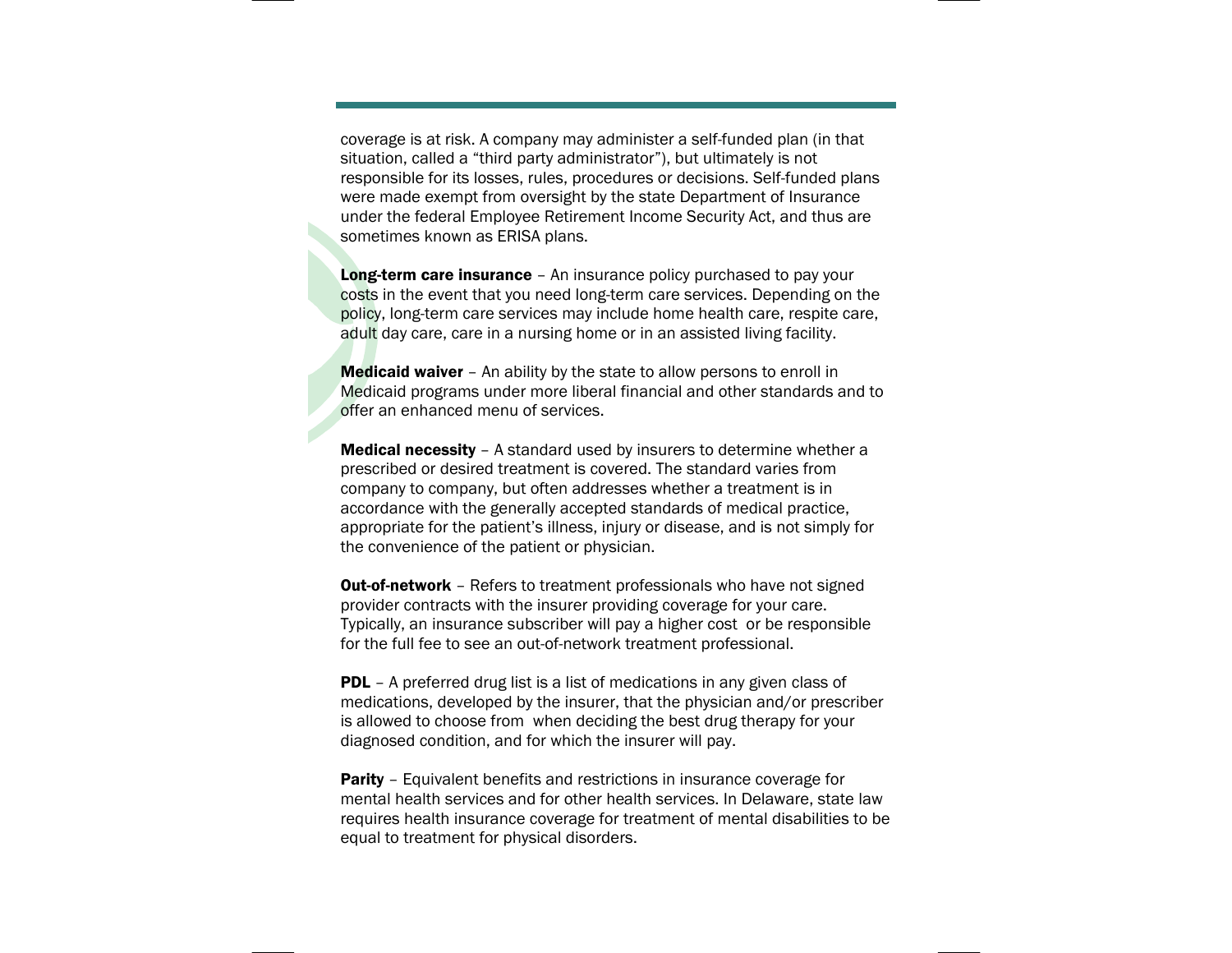coverage is at risk. A company may administer a self-funded plan (in that situation, called a "third party administrator"), but ultimately is not responsible for its losses, rules, procedures or decisions. Self-funded plans were made exempt from oversight by the state Department of Insurance under the federal Employee Retirement Income Security Act, and thus are sometimes known as ERISA plans.

Long-term care insurance - An insurance policy purchased to pay your costs in the event that you need long-term care services. Depending on the policy, long-term care services may include home health care, respite care, adult day care, care in a nursing home or in an assisted living facility.

Medicaid waiver – An ability by the state to allow persons to enroll in Medicaid programs under more liberal financial and other standards and to offer an enhanced menu of services.

**Medical necessity** - A standard used by insurers to determine whether a prescribed or desired treatment is covered. The standard varies from company to company, but often addresses whether a treatment is in accordance with the generally accepted standards of medical practice, appropriate for the patient's illness, injury or disease, and is not simply for the convenience of the patient or physician.

**Out-of-network** - Refers to treatment professionals who have not signed provider contracts with the insurer providing coverage for your care. Typically, an insurance subscriber will pay a higher cost or be responsible for the full fee to see an out-of-network treatment professional.

**PDL** - A preferred drug list is a list of medications in any given class of medications, developed by the insurer, that the physician and/or prescriber is allowed to choose from when deciding the best drug therapy for your diagnosed condition, and for which the insurer will pay.

**Parity** - Equivalent benefits and restrictions in insurance coverage for mental health services and for other health services. In Delaware, state law requires health insurance coverage for treatment of mental disabilities to be equal to treatment for physical disorders.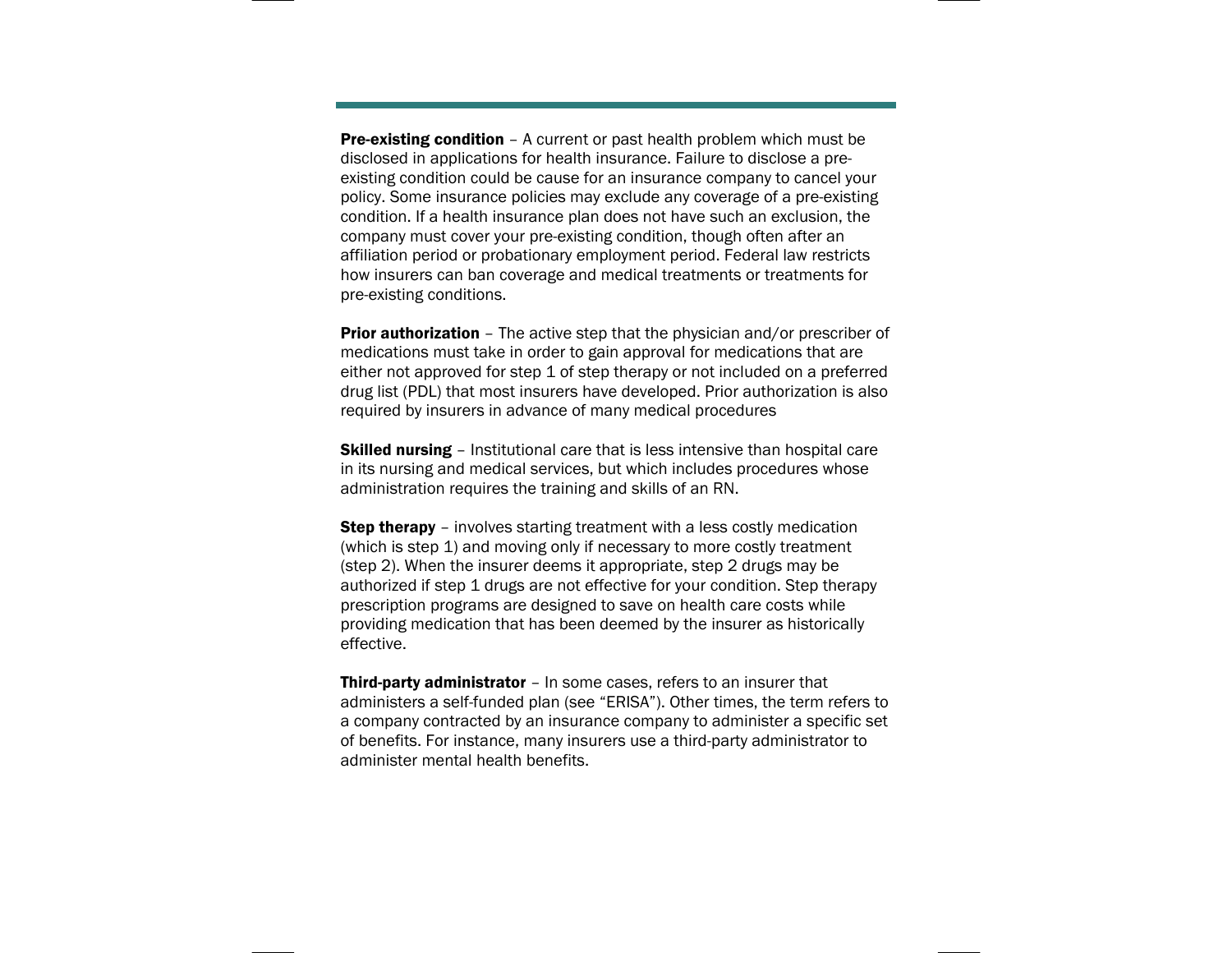**Pre-existing condition** - A current or past health problem which must be disclosed in applications for health insurance. Failure to disclose a preexisting condition could be cause for an insurance company to cancel your policy. Some insurance policies may exclude any coverage of a pre-existing condition. If a health insurance plan does not have such an exclusion, the company must cover your pre-existing condition, though often after an affiliation period or probationary employment period. Federal law restricts how insurers can ban coverage and medical treatments or treatments for pre-existing conditions.

**Prior authorization** - The active step that the physician and/or prescriber of medications must take in order to gain approval for medications that are either not approved for step 1 of step therapy or not included on a preferred drug list (PDL) that most insurers have developed. Prior authorization is also required by insurers in advance of many medical procedures

**Skilled nursing** - Institutional care that is less intensive than hospital care in its nursing and medical services, but which includes procedures whose administration requires the training and skills of an RN.

**Step therapy** – involves starting treatment with a less costly medication (which is step 1) and moving only if necessary to more costly treatment (step 2). When the insurer deems it appropriate, step 2 drugs may be authorized if step 1 drugs are not effective for your condition. Step therapy prescription programs are designed to save on health care costs while providing medication that has been deemed by the insurer as historically effective.

Third-party administrator - In some cases, refers to an insurer that administers a self-funded plan (see "ERISA"). Other times, the term refers to a company contracted by an insurance company to administer a specific set of benefits. For instance, many insurers use a third-party administrator to administer mental health benefits.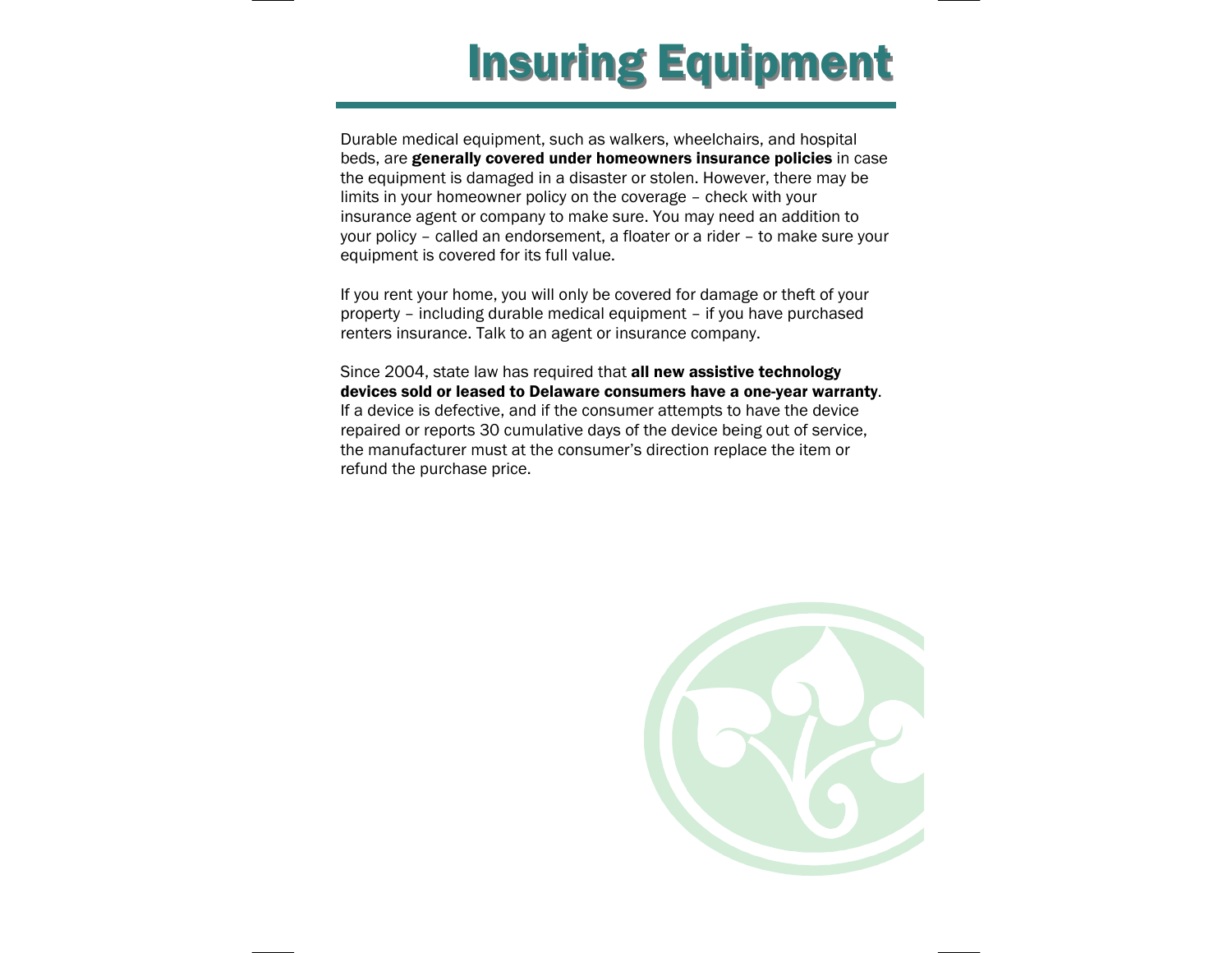# **Insuring Equipment**

Durable medical equipment, such as walkers, wheelchairs, and hospital beds, are generally covered under homeowners insurance policies in case the equipment is damaged in a disaster or stolen. However, there may be limits in your homeowner policy on the coverage – check with your insurance agent or company to make sure. You may need an addition to your policy – called an endorsement, a floater or a rider – to make sure your equipment is covered for its full value.

If you rent your home, you will only be covered for damage or theft of your property – including durable medical equipment – if you have purchased renters insurance. Talk to an agent or insurance company.

Since 2004, state law has required that all new assistive technology devices sold or leased to Delaware consumers have a one-year warranty. If a device is defective, and if the consumer attempts to have the device repaired or reports 30 cumulative days of the device being out of service, the manufacturer must at the consumer's direction replace the item or refund the purchase price.

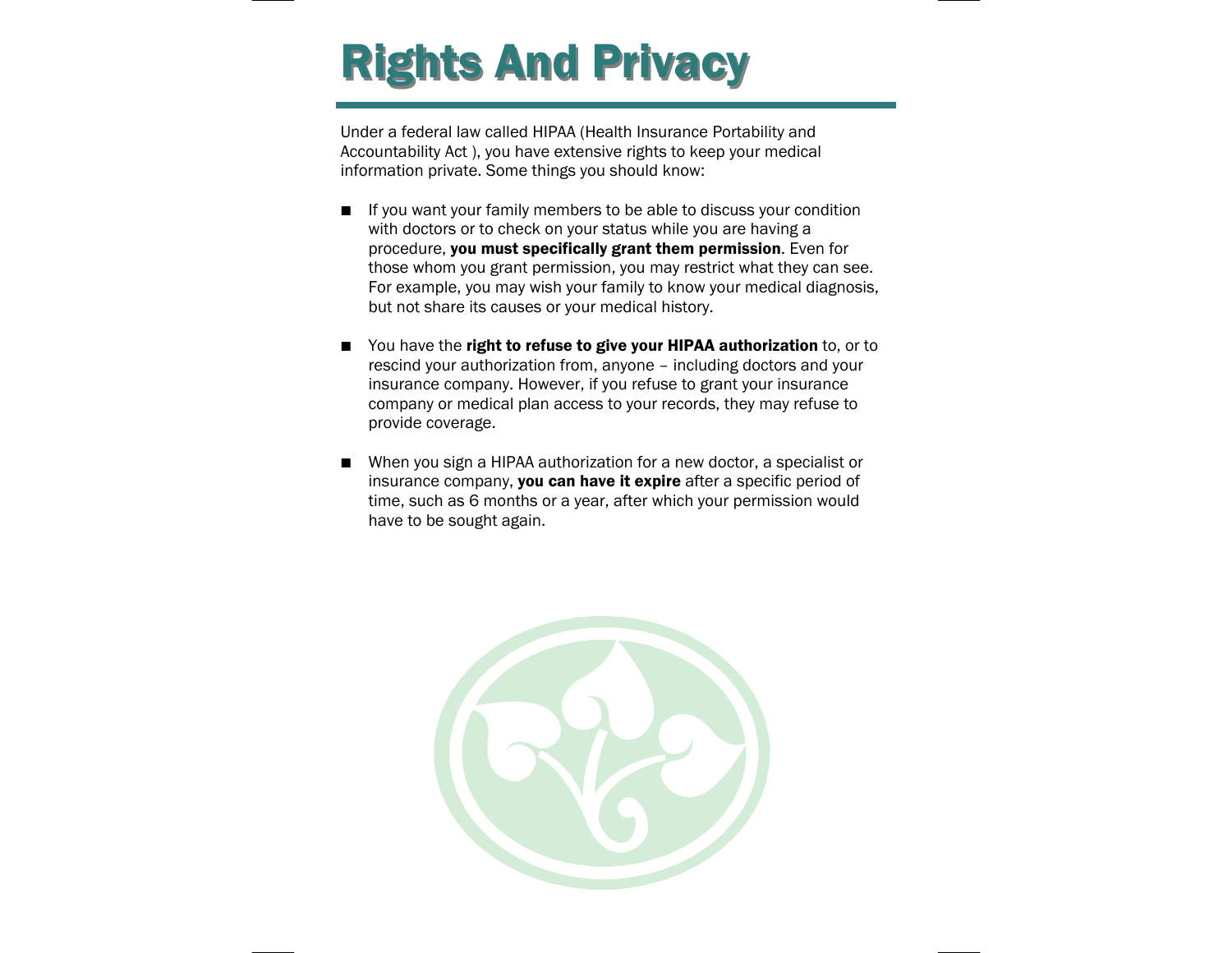# **Rights And Privacy**

Under a federal law called HIPAA (Health Insurance Portability and Accountability Act ), you have extensive rights to keep your medical information private. Some things you should know:

- $\blacksquare$  If you want your family members to be able to discuss your condition with doctors or to check on your status while you are having a procedure, you must specifically grant them permission. Even for those whom you grant permission, you may restrict what they can see. For example, you may wish your family to know your medical diagnosis, but not share its causes or your medical history.
- $\blacksquare$ You have the right to refuse to give your HIPAA authorization to, or to rescind your authorization from, anyone – including doctors and your insurance company. However, if you refuse to grant your insurance company or medical plan access to your records, they may refuse to provide coverage.
- **The Contract of the Contract of the Contract of the Contract of the Contract of the Contract of the Contract o**  When you sign a HIPAA authorization for a new doctor, a specialist or insurance company, **you can have it expire** after a specific period of time, such as 6 months or a year, after which your permission would have to be sought again.

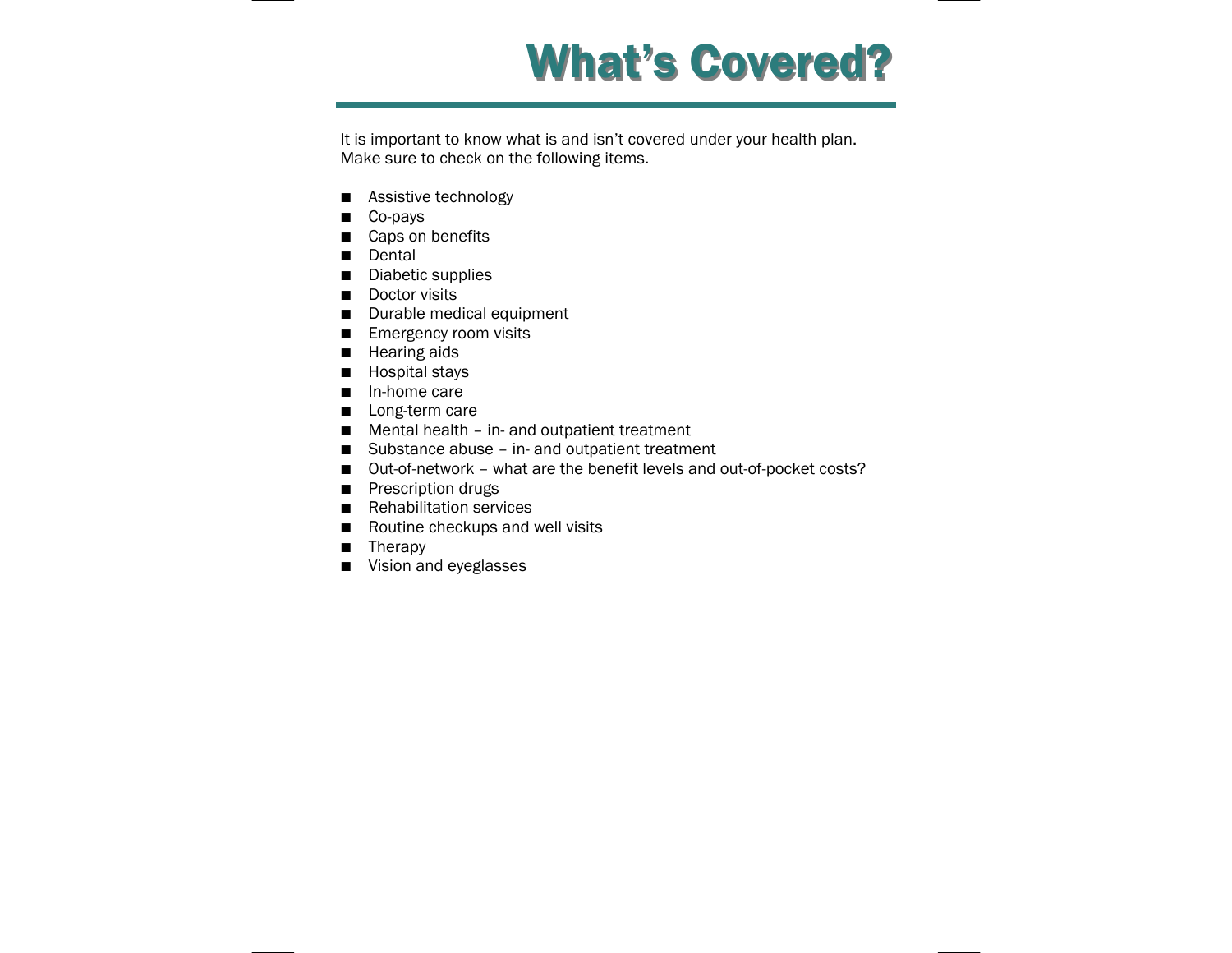

It is important to know what is and isn't covered under your health plan. Make sure to check on the following items.

- Assistive technology
- **■** Co-pays
- Caps on benefits
- Dental
- Diabetic supplies
- Doctor visits
- Durable medical equipment
- Emergency room visits
- Hearing aids
- $\blacksquare$  Hospital stays
- In-home care
- Long-term care
- Mental health in- and outpatient treatment
- Substance abuse in- and outpatient treatment
- Out-of-network what are the benefit levels and out-of-pocket costs?
- Prescription drugs
- Rehabilitation services
- Routine checkups and well visits
- Therapy
- Vision and eyeglasses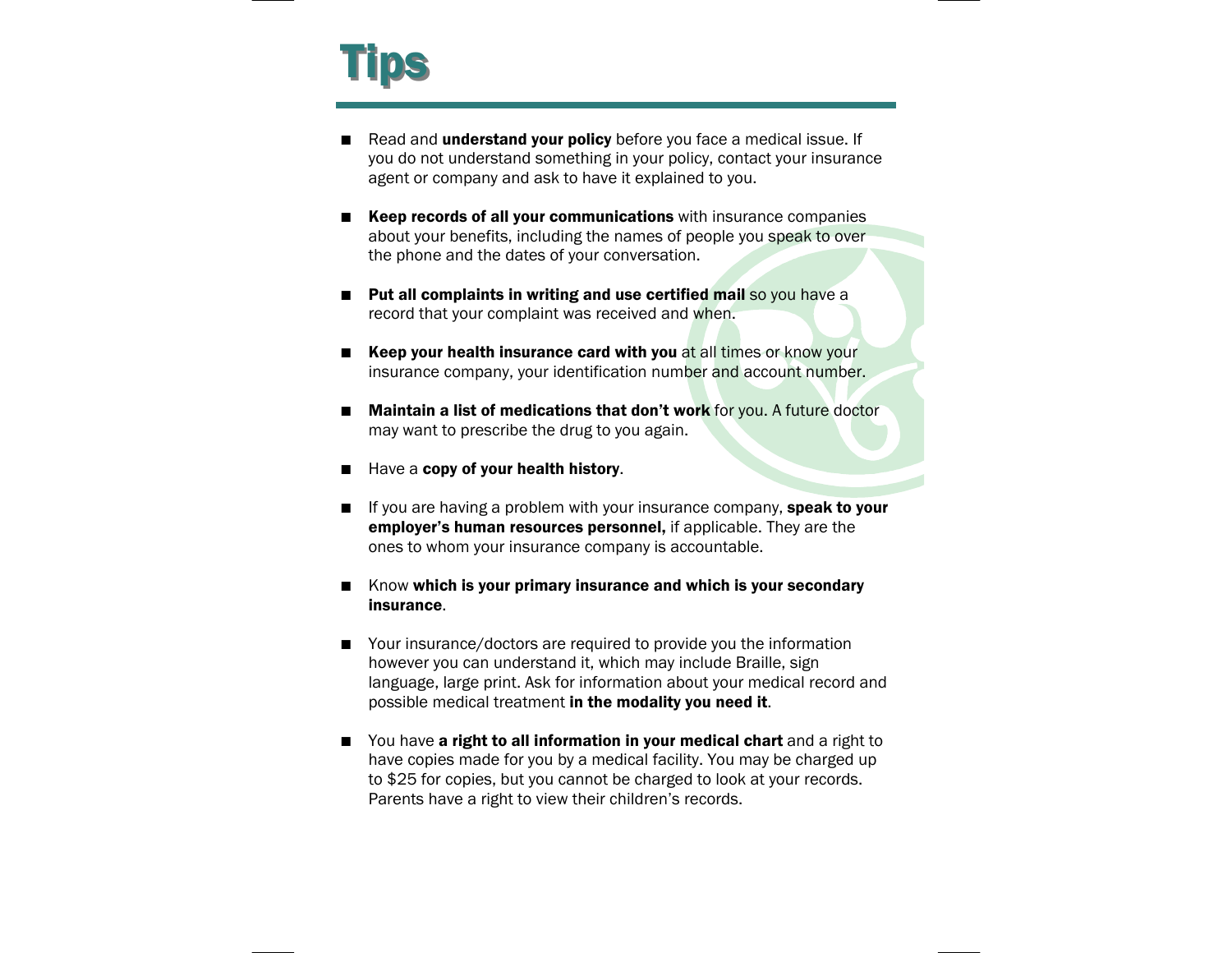

- **The Contract of the Contract of the Contract of the Contract of the Contract of the Contract of the Contract o** Read and **understand your policy** before you face a medical issue. If you do not understand something in your policy, contact your insurance agent or company and ask to have it explained to you.
- **E** Keep records of all your communications with insurance companies about your benefits, including the names of people you speak to over the phone and the dates of your conversation.
- Put all complaints in writing and use certified mail so you have a record that your complaint was received and when.
- $\blacksquare$  Keep your health insurance card with you at all times or know your insurance company, your identification number and account number.
- $\blacksquare$  Maintain a list of medications that don't work for you. A future doctor may want to prescribe the drug to you again.
- $\blacksquare$ Have a **copy of your health history**.
- $\blacksquare$ If you are having a problem with your insurance company, speak to your employer's human resources personnel, if applicable. They are the ones to whom your insurance company is accountable.
- $\blacksquare$  Know which is your primary insurance and which is your secondary insurance.
- Your insurance/doctors are required to provide you the information however you can understand it, which may include Braille, sign language, large print. Ask for information about your medical record and possible medical treatment in the modality you need it.
- You have a right to all information in your medical chart and a right to have copies made for you by a medical facility. You may be charged up to \$25 for copies, but you cannot be charged to look at your records. Parents have a right to view their children's records.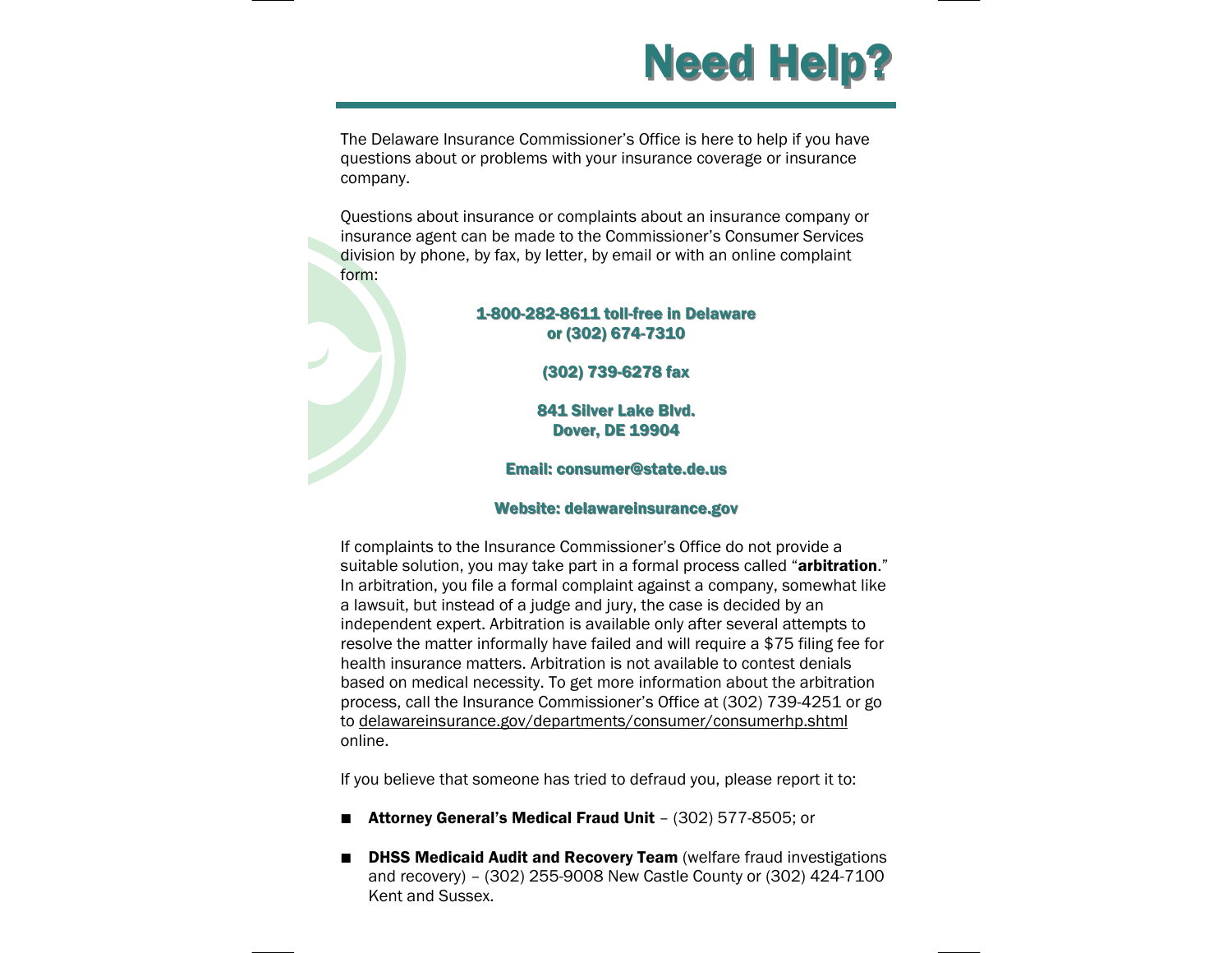

The Delaware Insurance Commissioner's Office is here to help if you have questions about or problems with your insurance coverage or insurance company.

Questions about insurance or complaints about an insurance company or insurance agent can be made to the Commissioner's Consumer Services division by phone, by fax, by letter, by email or with an online complaint form:

#### 1-800-282-8611 toll-free in Delaware or (302) 674-7310

(302) 739-6278 fax

841 Silver Lake Blvd. **Dover, DE 19904** 

### Email: consumer@state.de.us Email: consumer@state.de.us

#### Website: delawareinsurance.gov

If complaints to the Insurance Commissioner's Office do not provide a suitable solution, you may take part in a formal process called "arbitration." In arbitration, you file a formal complaint against a company, somewhat like a lawsuit, but instead of a judge and jury, the case is decided by an independent expert. Arbitration is available only after several attempts to resolve the matter informally have failed and will require a \$75 filing fee for health insurance matters. Arbitration is not available to contest denials based on medical necessity. To get more information about the arbitration process, call the Insurance Commissioner's Office at (302) 739-4251 or go to delawareinsurance.gov/departments/consumer/consumerhp.shtml online.

If you believe that someone has tried to defraud you, please report it to:

- $\blacksquare$ Attorney General's Medical Fraud Unit – (302) 577-8505; or
- $\blacksquare$ **DHSS Medicaid Audit and Recovery Team** (welfare fraud investigations and recovery) – (302) 255-9008 New Castle County or (302) 424-7100 Kent and Sussex.